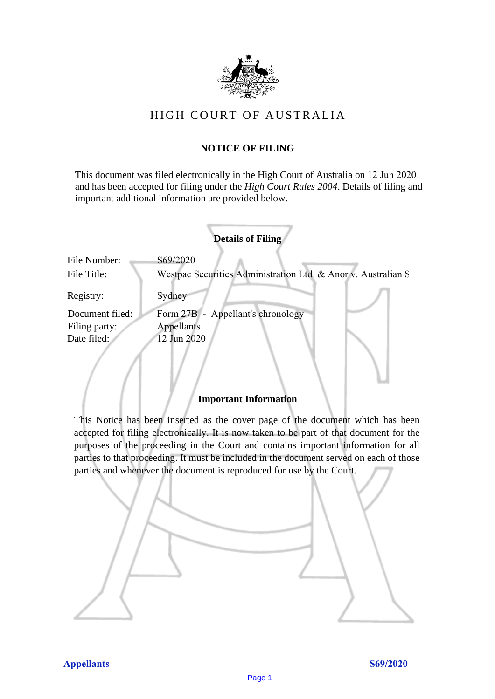

# HIGH COURT OF AUSTRALIA

## **NOTICE OF FILING** NOTICE OF FILING

This document was filed electronically in the High Court of Australia on 12 Jun 2020 and has been accepted for filing under the *High Court Rules 2004*. Details of filing and important additional information are provided below. important additional information are provided below.

|                 | <b>Details of Filing</b>                                     |
|-----------------|--------------------------------------------------------------|
| File Number:    | S69/2020                                                     |
| File Title:     | Westpac Securities Administration Ltd & Anor v. Australian S |
| Registry:       | Sydney                                                       |
| Document filed: | Form 27B - Appellant's chronology                            |
| Filing party:   | Appellants                                                   |
| Date filed:     | 12 Jun 2020                                                  |
|                 |                                                              |

### **Important Information** Important Information

This Notice has been inserted as the cover page of the document which has been accepted for filing electronically. It is now taken to be part of that document for the purposes of the proceeding in the Court and contains important information for all parties to that proceeding. It must be included in the document served on each of those parties and whenever the document is reproduced for use by the Court. parties and whenever the document is reproduced for use by the Court

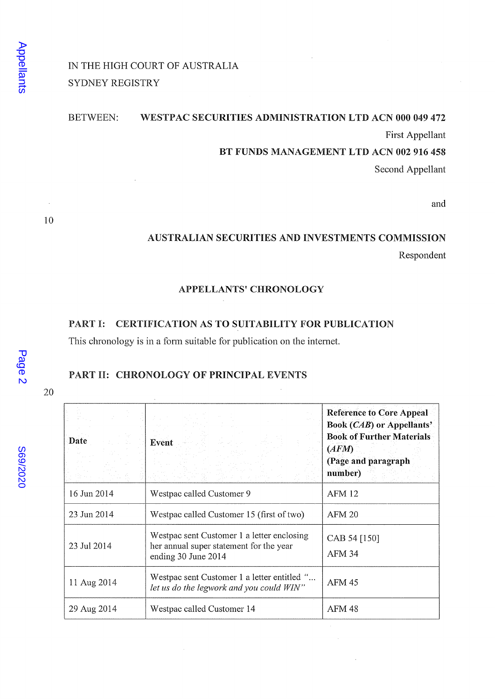# IN THE HIGH COURT OF AUSTRALIA SYDNEY REGISTRY

#### **BETWEEN:** WESTPAC SECURITIES ADMINISTRATION LTD ACN 000 049 472

First Appellant

BT FUNDS MANAGEMENT LTD ACN 002 916 458

Second Appellant

and

## AUSTRALIAN SECURITIES AND INVESTMENTS COMMISSION Respondent

### APPELLANTS' CHRONOLOGY

### PART I: CERTIFICATION AS TO SUITABILITY FOR PUBLICATION

This chronology is in a form suitable for publication on the internet.

## PART II: CHRONOLOGY OF PRINCIPAL EVENTS

20

 $\mathbf{r}$ 

 $\sim$ 

10

| Date        | Event -                                                                                                      | <b>Reference to Core Appeal</b><br><b>Book (CAB) or Appellants'</b><br><b>Book of Further Materials</b><br>(AFM)<br>(Page and paragraph<br>number) |
|-------------|--------------------------------------------------------------------------------------------------------------|----------------------------------------------------------------------------------------------------------------------------------------------------|
| 16 Jun 2014 | Westpac called Customer 9                                                                                    | <b>AFM 12</b>                                                                                                                                      |
| 23 Jun 2014 | Westpac called Customer 15 (first of two)                                                                    | AFM 20                                                                                                                                             |
| 23 Jul 2014 | Westpac sent Customer 1 a letter enclosing<br>her annual super statement for the year<br>ending 30 June 2014 | CAB 54 [150]<br>AFM 34                                                                                                                             |
| 11 Aug 2014 | Westpac sent Customer 1 a letter entitled "<br>let us do the legwork and you could WIN"                      | AFM 45                                                                                                                                             |
| 29 Aug 2014 | Westpac called Customer 14                                                                                   | AFM 48                                                                                                                                             |

**269/2020**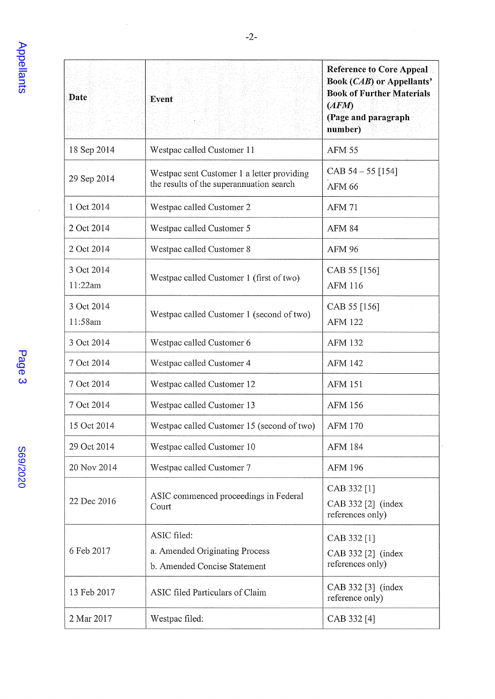$\frac{1}{2}$ 

| <b>Date</b>           | Event                                                                                  | <b>Reference to Core Appeal</b><br><b>Book (CAB) or Appellants'</b><br><b>Book of Further Materials</b><br>(AFM)<br>(Page and paragraph<br>number) |
|-----------------------|----------------------------------------------------------------------------------------|----------------------------------------------------------------------------------------------------------------------------------------------------|
| 18 Sep 2014           | Westpac called Customer 11                                                             | <b>AFM 55</b>                                                                                                                                      |
| 29 Sep 2014           | Westpac sent Customer 1 a letter providing<br>the results of the superannuation search | CAB $54 - 55$ [154]<br><b>AFM 66</b>                                                                                                               |
| 1 Oct 2014            | Westpac called Customer 2                                                              | <b>AFM 71</b>                                                                                                                                      |
| 2 Oct 2014            | Westpac called Customer 5                                                              | <b>AFM 84</b>                                                                                                                                      |
| 2 Oct 2014            | Westpac called Customer 8                                                              | <b>AFM 96</b>                                                                                                                                      |
| 3 Oct 2014<br>11:22am | Westpac called Customer 1 (first of two)                                               | CAB 55 [156]<br><b>AFM 116</b>                                                                                                                     |
| 3 Oct 2014<br>11:58am | Westpac called Customer 1 (second of two)                                              | CAB 55 [156]<br><b>AFM 122</b>                                                                                                                     |
| 3 Oct 2014            | Westpac called Customer 6                                                              | <b>AFM 132</b>                                                                                                                                     |
| 7 Oct 2014            | Westpac called Customer 4                                                              | <b>AFM 142</b>                                                                                                                                     |
| 7 Oct 2014            | Westpac called Customer 12                                                             | <b>AFM 151</b>                                                                                                                                     |
| 7 Oct 2014            | Westpac called Customer 13                                                             | <b>AFM 156</b>                                                                                                                                     |
| 15 Oct 2014           | Westpac called Customer 15 (second of two)                                             | <b>AFM 170</b>                                                                                                                                     |
| 29 Oct 2014           | Westpac called Customer 10                                                             | <b>AFM 184</b>                                                                                                                                     |
| 20 Nov 2014           | Westpac called Customer 7                                                              | <b>AFM 196</b>                                                                                                                                     |
| 22 Dec 2016           | ASIC commenced proceedings in Federal<br>Court                                         | CAB 332 [1]<br>CAB 332 [2] (index<br>references only)                                                                                              |
| 6 Feb 2017            | ASIC filed:<br>a. Amended Originating Process<br>b. Amended Concise Statement          | CAB 332 [1]<br>CAB 332 [2] (index<br>references only)                                                                                              |
| 13 Feb 2017           | ASIC filed Particulars of Claim                                                        | CAB 332 [3] (index<br>reference only)                                                                                                              |
| 2 Mar 2017            | Westpac filed:                                                                         | CAB 332 [4]                                                                                                                                        |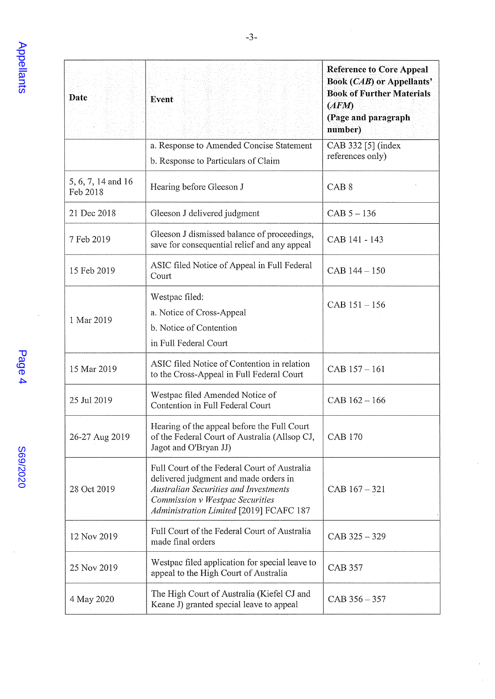| Date                           | Event                                                                                                                                                                                                               | <b>Reference to Core Appeal</b><br><b>Book (CAB) or Appellants'</b><br><b>Book of Further Materials</b><br>(AFM)<br>(Page and paragraph<br>number) |
|--------------------------------|---------------------------------------------------------------------------------------------------------------------------------------------------------------------------------------------------------------------|----------------------------------------------------------------------------------------------------------------------------------------------------|
|                                | a. Response to Amended Concise Statement                                                                                                                                                                            | CAB 332 [5] (index<br>references only)                                                                                                             |
| 5, 6, 7, 14 and 16<br>Feb 2018 | b. Response to Particulars of Claim<br>Hearing before Gleeson J                                                                                                                                                     | CAB <sub>8</sub>                                                                                                                                   |
| 21 Dec 2018                    | Gleeson J delivered judgment                                                                                                                                                                                        | $CAB 5 - 136$                                                                                                                                      |
| 7 Feb 2019                     | Gleeson J dismissed balance of proceedings,<br>save for consequential relief and any appeal                                                                                                                         | CAB 141 - 143                                                                                                                                      |
| 15 Feb 2019                    | ASIC filed Notice of Appeal in Full Federal<br>Court                                                                                                                                                                | CAB 144-150                                                                                                                                        |
| 1 Mar 2019                     | Westpac filed:<br>a. Notice of Cross-Appeal<br>b. Notice of Contention<br>in Full Federal Court                                                                                                                     | CAB 151-156                                                                                                                                        |
| 15 Mar 2019                    | ASIC filed Notice of Contention in relation<br>to the Cross-Appeal in Full Federal Court                                                                                                                            | CAB 157-161                                                                                                                                        |
| 25 Jul 2019                    | Westpac filed Amended Notice of<br>Contention in Full Federal Court                                                                                                                                                 | $CAB 162 - 166$                                                                                                                                    |
| 26-27 Aug 2019                 | Hearing of the appeal before the Full Court<br>of the Federal Court of Australia (Allsop CJ,<br>Jagot and O'Bryan JJ)                                                                                               | <b>CAB 170</b>                                                                                                                                     |
| 28 Oct 2019                    | Full Court of the Federal Court of Australia<br>delivered judgment and made orders in<br><b>Australian Securities and Investments</b><br>Commission v Westpac Securities<br>Administration Limited [2019] FCAFC 187 | $CAB 167 - 321$                                                                                                                                    |
| 12 Nov 2019                    | Full Court of the Federal Court of Australia<br>made final orders                                                                                                                                                   | CAB 325 - 329                                                                                                                                      |
| 25 Nov 2019                    | Westpac filed application for special leave to<br>appeal to the High Court of Australia                                                                                                                             | <b>CAB 357</b>                                                                                                                                     |
| 4 May 2020                     | The High Court of Australia (Kiefel CJ and<br>Keane J) granted special leave to appeal                                                                                                                              | $CAB 356 - 357$                                                                                                                                    |